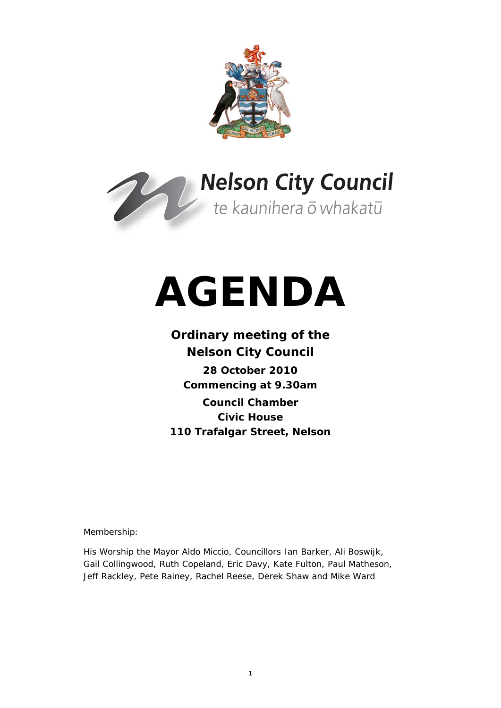



# **AGENDA**

## **Ordinary meeting of the Nelson City Council 28 October 2010 Commencing at 9.30am Council Chamber Civic House 110 Trafalgar Street, Nelson**

Membership:

His Worship the Mayor Aldo Miccio, Councillors Ian Barker, Ali Boswijk, Gail Collingwood, Ruth Copeland, Eric Davy, Kate Fulton, Paul Matheson, Jeff Rackley, Pete Rainey, Rachel Reese, Derek Shaw and Mike Ward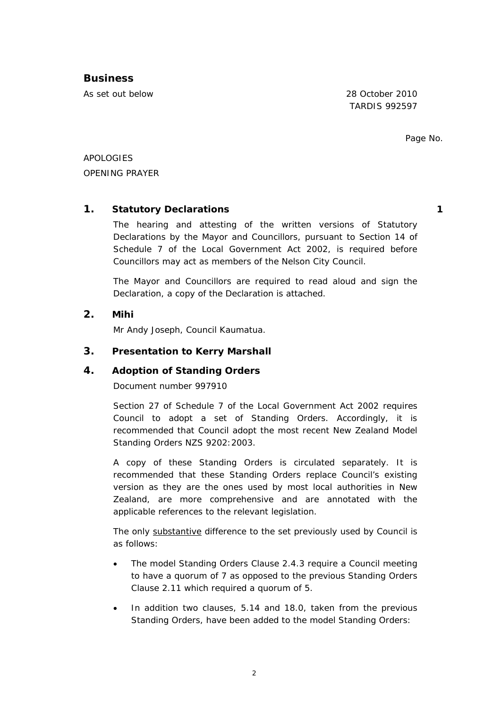#### **Business**

As set out below 28 October 2010

TARDIS 992597

Page No.

APOLOGIES OPENING PRAYER

#### **1. Statutory Declarations 1**

The hearing and attesting of the written versions of Statutory Declarations by the Mayor and Councillors, pursuant to Section 14 of Schedule 7 of the Local Government Act 2002, is required before Councillors may act as members of the Nelson City Council.

The Mayor and Councillors are required to read aloud and sign the Declaration, a copy of the Declaration is attached.

#### **2. Mihi**

Mr Andy Joseph, Council Kaumatua.

#### **3. Presentation to Kerry Marshall**

#### **4. Adoption of Standing Orders**

Document number 997910

Section 27 of Schedule 7 of the Local Government Act 2002 requires Council to adopt a set of Standing Orders. Accordingly, it is recommended that Council adopt the most recent New Zealand Model Standing Orders NZS 9202:2003.

A copy of these Standing Orders is circulated separately. It is recommended that these Standing Orders replace Council's existing version as they are the ones used by most local authorities in New Zealand, are more comprehensive and are annotated with the applicable references to the relevant legislation.

The only substantive difference to the set previously used by Council is as follows:

- The model Standing Orders Clause 2.4.3 require a Council meeting to have a quorum of 7 as opposed to the previous Standing Orders Clause 2.11 which required a quorum of 5.
- In addition two clauses, 5.14 and 18.0, taken from the previous Standing Orders, have been added to the model Standing Orders: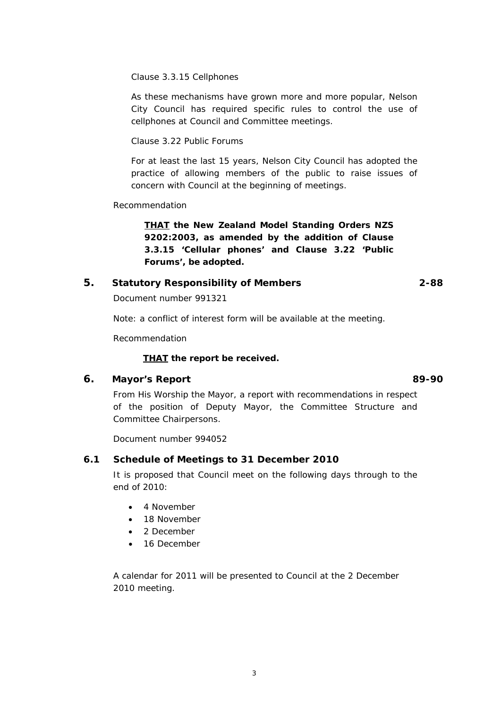Clause 3.3.15 Cellphones

As these mechanisms have grown more and more popular, Nelson City Council has required specific rules to control the use of cellphones at Council and Committee meetings.

Clause 3.22 Public Forums

For at least the last 15 years, Nelson City Council has adopted the practice of allowing members of the public to raise issues of concern with Council at the beginning of meetings.

Recommendation

*THAT the New Zealand Model Standing Orders NZS 9202:2003, as amended by the addition of Clause 3.3.15 'Cellular phones' and Clause 3.22 'Public Forums', be adopted.* 

#### **5. Statutory Responsibility of Members 2-88**

Document number 991321

Note: a conflict of interest form will be available at the meeting.

Recommendation

#### *THAT the report be received.*

#### **6. Mayor's Report 89-90**

From His Worship the Mayor, a report with recommendations in respect of the position of Deputy Mayor, the Committee Structure and Committee Chairpersons.

Document number 994052

#### **6.1 Schedule of Meetings to 31 December 2010**

It is proposed that Council meet on the following days through to the end of 2010:

- 4 November
- 18 November
- 2 December
- 16 December

A calendar for 2011 will be presented to Council at the 2 December 2010 meeting.